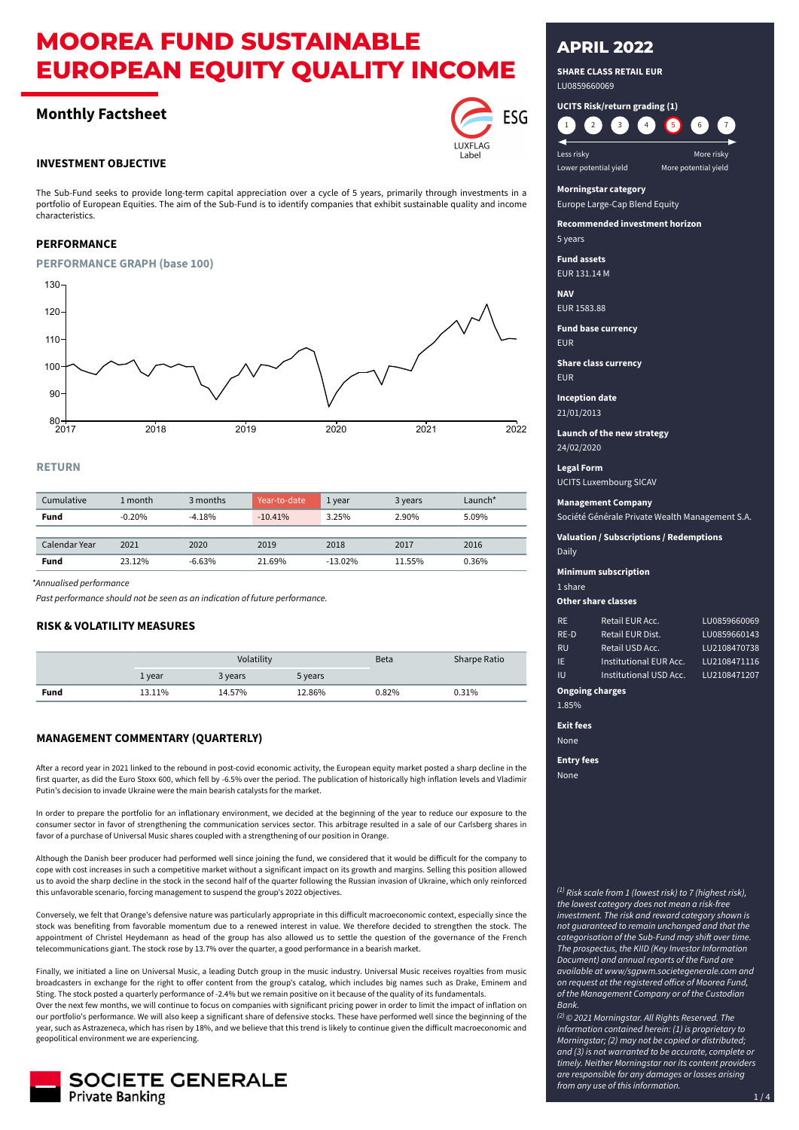# **MOOREA FUND SUSTAINABLE EUROPEAN EQUITY QUALITY INCOME**

# **Monthly Factsheet**

### **INVESTMENT OBJECTIVE**

The Sub-Fund seeks to provide long-term capital appreciation over a cycle of 5 years, primarily through investments in a portfolio of European Equities. The aim of the Sub-Fund is to identify companies that exhibit sustainable quality and income characteristics.

# **PERFORMANCE**

#### **PERFORMANCE GRAPH (base 100)**



# **RETURN**

| Cumulative    | 1 month  | 3 months | Year-to-date | 1 year    | 3 years | Launch $*$ |
|---------------|----------|----------|--------------|-----------|---------|------------|
| Fund          | $-0.20%$ | $-4.18%$ | $-10.41%$    | 3.25%     | 2.90%   | 5.09%      |
|               |          |          |              |           |         |            |
| Calendar Year | 2021     | 2020     | 2019         | 2018      | 2017    | 2016       |
| Fund          | 23.12%   | $-6.63%$ | 21.69%       | $-13.02%$ | 11.55%  | 0.36%      |

*\*Annualised performance*

*Past performance should not be seen as an indication of future performance.*

### **RISK & VOLATILITY MEASURES**

|      | Volatility |         | <b>Beta</b> | <b>Sharpe Ratio</b> |       |
|------|------------|---------|-------------|---------------------|-------|
|      | 1 year     | 3 years | 5 years     |                     |       |
| Fund | 13.11%     | 14.57%  | 12.86%      | 0.82%               | 0.31% |

# **MANAGEMENT COMMENTARY (QUARTERLY)**

After a record year in 2021 linked to the rebound in post-covid economic activity, the European equity market posted a sharp decline in the first quarter, as did the Euro Stoxx 600, which fell by -6.5% over the period. The publication of historically high inflation levels and Vladimir Putin's decision to invade Ukraine were the main bearish catalysts for the market.

In order to prepare the portfolio for an inflationary environment, we decided at the beginning of the year to reduce our exposure to the consumer sector in favor of strengthening the communication services sector. This arbitrage resulted in a sale of our Carlsberg shares in favor of a purchase of Universal Music shares coupled with a strengthening of our position in Orange.

Although the Danish beer producer had performed well since joining the fund, we considered that it would be difficult for the company to cope with cost increases in such a competitive market without a significant impact on its growth and margins. Selling this position allowed us to avoid the sharp decline in the stock in the second half of the quarter following the Russian invasion of Ukraine, which only reinforced this unfavorable scenario, forcing management to suspend the group's 2022 objectives.

Conversely, we felt that Orange's defensive nature was particularly appropriate in this difficult macroeconomic context, especially since the stock was benefiting from favorable momentum due to a renewed interest in value. We therefore decided to strengthen the stock. The appointment of Christel Heydemann as head of the group has also allowed us to settle the question of the governance of the French telecommunications giant. The stock rose by 13.7% over the quarter, a good performance in a bearish market.

Finally, we initiated a line on Universal Music, a leading Dutch group in the music industry. Universal Music receives royalties from music broadcasters in exchange for the right to offer content from the group's catalog, which includes big names such as Drake, Eminem and Sting. The stock posted a quarterly performance of -2.4% but we remain positive on it because of the quality of its fundamentals.

Over the next few months, we will continue to focus on companies with significant pricing power in order to limit the impact of inflation on our portfolio's performance. We will also keep a significant share of defensive stocks. These have performed well since the beginning of the year, such as Astrazeneca, which has risen by 18%, and we believe that this trend is likely to continue given the difficult macroeconomic and geopolitical environment we are experiencing.



# **APRIL 2022**

**SHARE CLASS RETAIL EUR** LU0859660069

**UCITS Risk/return grading (1)** 1 (2 3 4 5 6 7

**Less risky** More risky Lower potential yield More potential yield

#### **Morningstar category** Europe Large-Cap Blend Equity

**Recommended investment horizon**

5 years

**Fund assets** EUR 131.14 M

**NAV**

EUR 1583.88

**Fund base currency** EUR

**Share class currency**

EUR

**Inception date** 21/01/2013

**Launch of the new strategy** 24/02/2020

**Legal Form**

UCITS Luxembourg SICAV

# **Management Company**

Société Générale Private Wealth Management S.A.

**Valuation / Subscriptions / Redemptions**

Daily

**Minimum subscription**

1 share

**Other share classes**

| <b>RE</b>              | Retail EUR Acc.        | LU0859660069 |
|------------------------|------------------------|--------------|
| $RE-D$                 | Retail EUR Dist.       | LU0859660143 |
| <b>RU</b>              | Retail USD Acc.        | LU2108470738 |
| IE                     | Institutional EUR Acc. | LU2108471116 |
| <b>IU</b>              | Institutional USD Acc. | LU2108471207 |
| <b>Ongoing charges</b> |                        |              |

# 1.85%

**Exit fees**

None

**Entry fees**

None

*(1) Risk scale from 1 (lowest risk) to 7 (highest risk), the lowest category does not mean a risk-free investment. The risk and reward category shown is not guaranteed to remain unchanged and that the*

*categorisation of the Sub-Fund may shift over time. The prospectus, the KIID (Key Investor Information Document) and annual reports of the Fund are available at www/sgpwm.societegenerale.com and on request at the registered office of Moorea Fund, of the Management Company or of the Custodian Bank.*

*(2) © 2021 Morningstar. All Rights Reserved. The information contained herein: (1) is proprietary to Morningstar; (2) may not be copied or distributed; and (3) is not warranted to be accurate, complete or timely. Neither Morningstar nor its content providers are responsible for any damages or losses arising from any use of this information.*



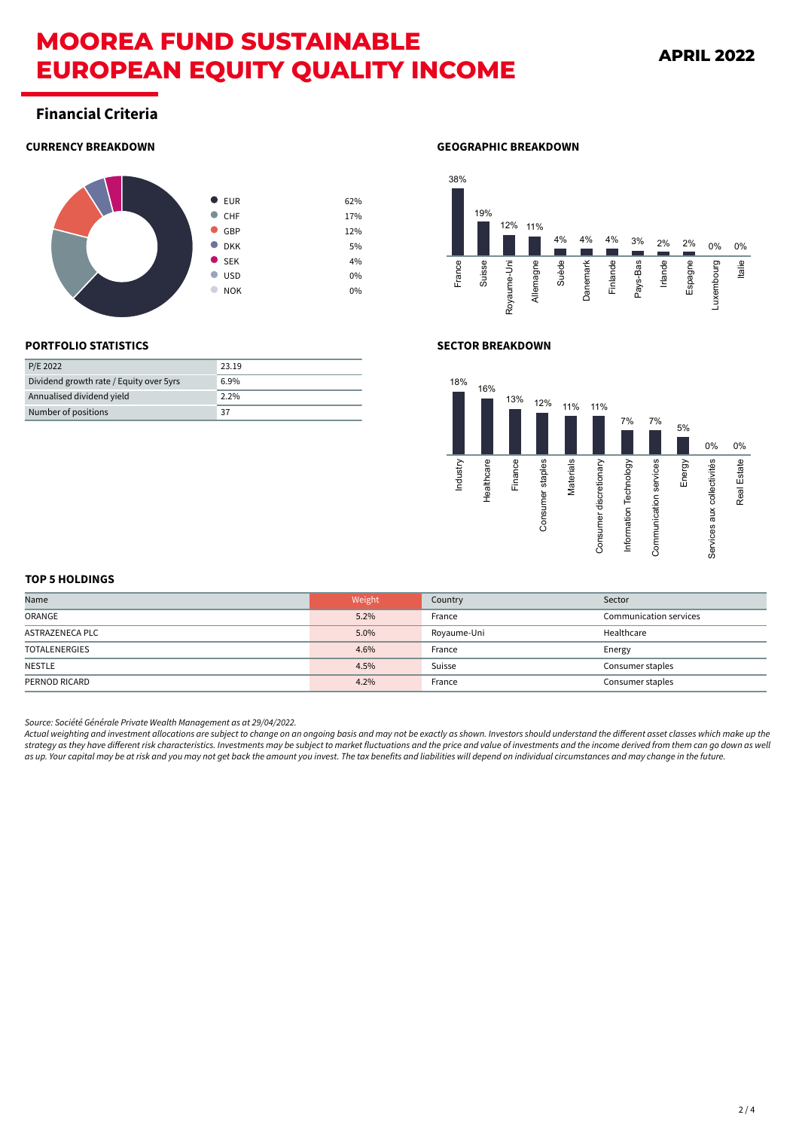# **MOOREA FUND SUSTAINABLE EUROPEAN EQUITY QUALITY INCOME**

# **Financial Criteria**

# **CURRENCY BREAKDOWN**



# **GEOGRAPHIC BREAKDOWN**



# **PORTFOLIO STATISTICS**

| P/E 2022                                | 23.19   |
|-----------------------------------------|---------|
| Dividend growth rate / Equity over 5yrs | 6.9%    |
| Annualised dividend yield               | $2.2\%$ |
| Number of positions                     | 37      |

# **SECTOR BREAKDOWN**



### **TOP 5 HOLDINGS**

| Name                 | Weight | Country     | Sector                        |
|----------------------|--------|-------------|-------------------------------|
| ORANGE               | 5.2%   | France      | <b>Communication services</b> |
| ASTRAZENECA PLC      | 5.0%   | Royaume-Uni | Healthcare                    |
| <b>TOTALENERGIES</b> | 4.6%   | France      | Energy                        |
| NESTLE               | 4.5%   | Suisse      | Consumer staples              |
| PERNOD RICARD        | 4.2%   | France      | Consumer staples              |

*Source: Société Générale Private Wealth Management as at 29/04/2022.*

*Actual weighting and investment allocations are subject to change on an ongoing basis and may not be exactly as shown. Investors should understand the different asset classes which make up the strategy as they have different risk characteristics. Investments may be subject to market fluctuations and the price and value of investments and the income derived from them can go down as well as up. Your capital may be at risk and you may not get back the amount you invest. The tax benefits and liabilities will depend on individual circumstances and may change in the future.*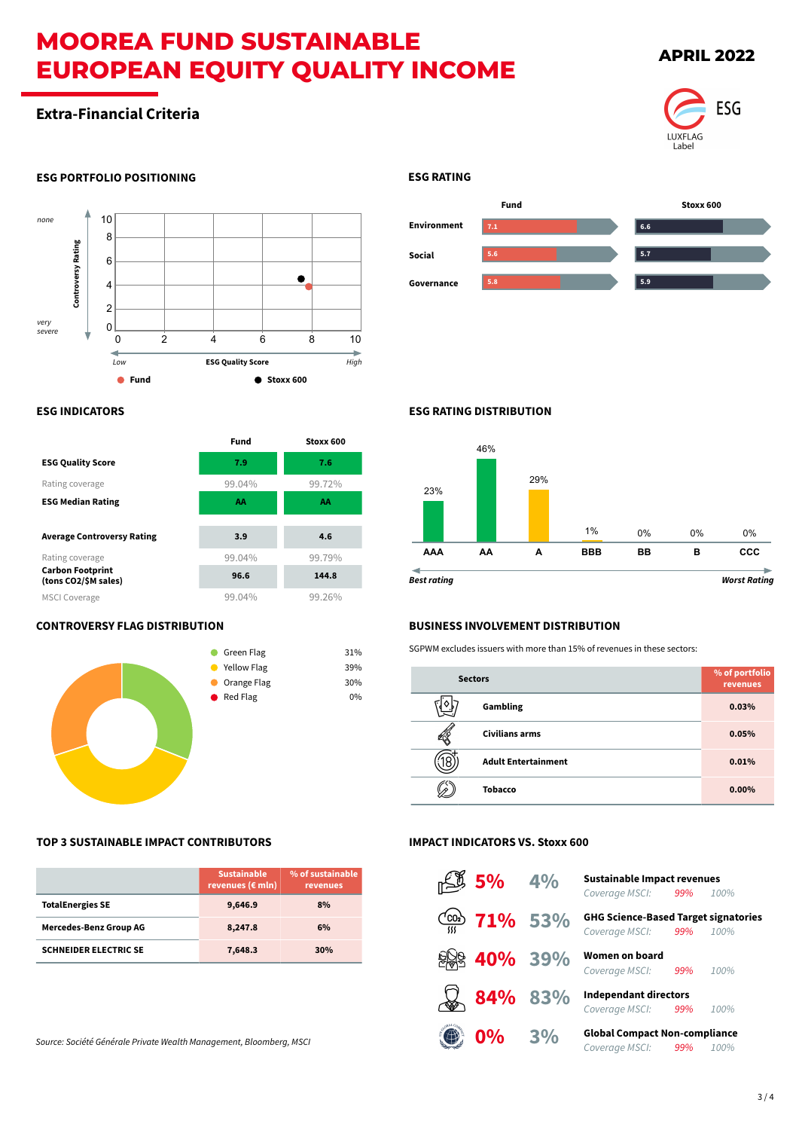# **MOOREA FUND SUSTAINABLE EUROPEAN EQUITY QUALITY INCOME**

# **Extra-Financial Criteria**

# **APRIL 2022**



# **ESG PORTFOLIO POSITIONING**



# **ESG INDICATORS**

|                                                 | <b>Fund</b> | Stoxx 600 |
|-------------------------------------------------|-------------|-----------|
| <b>ESG Quality Score</b>                        | 7.9         | 7.6       |
| Rating coverage                                 | 99.04%      | 99.72%    |
| <b>ESG Median Rating</b>                        | AA          | AA        |
|                                                 |             |           |
| <b>Average Controversy Rating</b>               | 3.9         | 4.6       |
| Rating coverage                                 | 99.04%      | 99.79%    |
| <b>Carbon Footprint</b><br>(tons CO2/\$M sales) | 96.6        | 144.8     |
| <b>MSCI Coverage</b>                            | 99.04%      | 99.26%    |

# **CONTROVERSY FLAG DISTRIBUTION**



# **TOP 3 SUSTAINABLE IMPACT CONTRIBUTORS**

|                               | <b>Sustainable</b><br>revenues ( $\varepsilon$ mln) | % of sustainable<br>revenues |
|-------------------------------|-----------------------------------------------------|------------------------------|
| <b>TotalEnergies SE</b>       | 9,646.9                                             | 8%                           |
| <b>Mercedes-Benz Group AG</b> | 8,247.8                                             | 6%                           |
| <b>SCHNEIDER ELECTRIC SE</b>  | 7,648.3                                             | 30%                          |

*Source: Société Générale Private Wealth Management, Bloomberg, MSCI*

# **ESG RATING**



# **ESG RATING DISTRIBUTION**



# **BUSINESS INVOLVEMENT DISTRIBUTION**

SGPWM excludes issuers with more than 15% of revenues in these sectors:

| <b>Sectors</b> |                            | % of portfolio<br>revenues |
|----------------|----------------------------|----------------------------|
|                | Gambling                   | 0.03%                      |
|                | <b>Civilians arms</b>      | 0.05%                      |
|                | <b>Adult Entertainment</b> | 0.01%                      |
|                | <b>Tobacco</b>             | $0.00\%$                   |

# **IMPACT INDICATORS VS. Stoxx 600**

| $5\%$ 4%                     |    | <b>Sustainable Impact revenues</b><br>Coverage MSCI: 99%<br>100%          |
|------------------------------|----|---------------------------------------------------------------------------|
| $\frac{(\cos 2)}{m}$ 71% 53% |    | <b>GHG Science-Based Target signatories</b><br>Coverage MSCI: 99%<br>100% |
| 40% 39%                      |    | Women on board<br>Coverage MSCI:<br>99%<br>100%                           |
| 84% 83%                      |    | <b>Independant directors</b><br>Coverage MSCI: 99%<br>100%                |
| 0%                           | 3% | <b>Global Compact Non-compliance</b><br>Coverage MSCI:<br>99%<br>100%     |